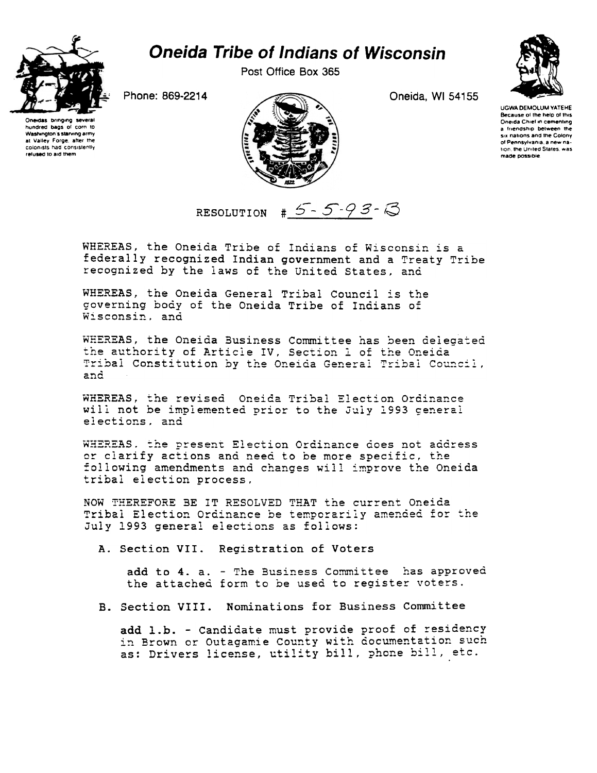

## **Oneida Tribe of Indians of Wisconsin**

Post Office Box 365

Phone: 869-2214





Oneida, WI 54155



**UGWA DEMOLUM YATEHE** Because of the help of this Oneida Chief in cementing a friendship between the six nations and the Colony of Pennsylvania, a new nation, the United States, was made possible.

RESOLUTION  $\# 5 - 5 - 93 - 3$ 

WHEREAS, the Oneida Tribe of Indians of Wisconsin is a federally recognized Indian government and a Treaty Tribe recognized by the laws of the United States, and

WHEREAS, the Oneida General Tribal Council is the governing body of the Oneida Tribe of Indians of Wisconsin, and

WHEREAS, the Oneida Business Committee has been delegated the authority of Article IV, Section 1 of the Oneida Tribal Constitution by the Oneida General Tribal Council, and

WHEREAS, the revised Oneida Tribal Election Ordinance will not be implemented prior to the July 1993 general elections. and

WHEREAS. the present Election Ordinance does not address or clarify actions and need to be more specific, the following amendments and changes will improve the Oneida tribal election process,

NOW THEREFORE BE IT RESOLVED THAT the current Oneida Tribal Election Ordinance be temporarily amended for the July 1993 general elections as follows:

A. Section VII. Registration of Voters

add to 4. a. - The Business Committee has approved the attached form to be used to register voters.

B. Section VIII. Nominations for Business Committee

add 1.b. - Candidate must provide proof of residency in Brown or Outagamie County with documentation such as: Drivers license, utility bill, phone bill, etc.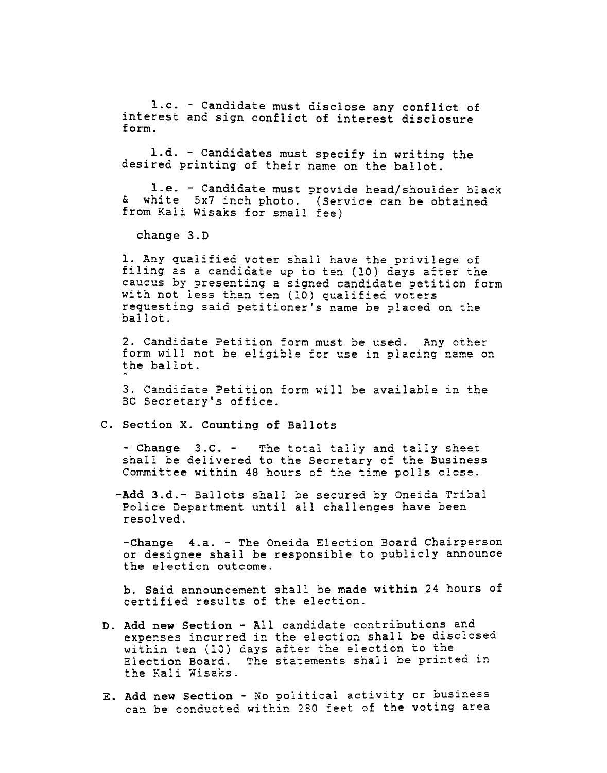l.c. -Candidate must disclose any conflict of interest and sign conflict of interest disclosure<br>form.

1.d. - Candidates must specify in writing the desired printing of their name on the ballot.

I.e. -Candidate must provide head/shoulder black & white 5x7 inch photo. (Service can be obtained from Kali Wisaks for small fee)

change 3.D

1. Any qualified voter shall have the privilege of filing as a candidate up to ten (10) days after the caucus by presenting a signed candidate petition form with not less than ten (10) qualified voters requesting said petitioner's name be placed on the  $ballot.$ 

2. Candidate Petition form must be used. Any other form will not be eligible for use in placing name on the ballot.

3. Candidate Petition form will be available in the BC Secretary's office.

## C. Section X. Counting of Ballots

- Change 3.C. - The total tally and tally sheet shall be delivered to the Secretary of the Business Committee within 48 hours of the time polls close.

-Add 3.d.- Ballots shall be secured by Oneida Tribal Police Department until all challenges have been resolved.

-Change 4.a. - The Oneida Election Board Chairperson or designee shall be responsible to publicly announce the election outcome.

b. Said announcement shall be made within 24 hours of certified results of the election.

- Add new Section -All candidate contributions and expenses incurred in the election shall be disclosed within ten (10) days after the election to the Election Board. The statements shall be printed in Erectron Bourd:<br>the Kali Wisak:
- E. Add new Section No political activity or business can be conducted within 280 feet of the voting area